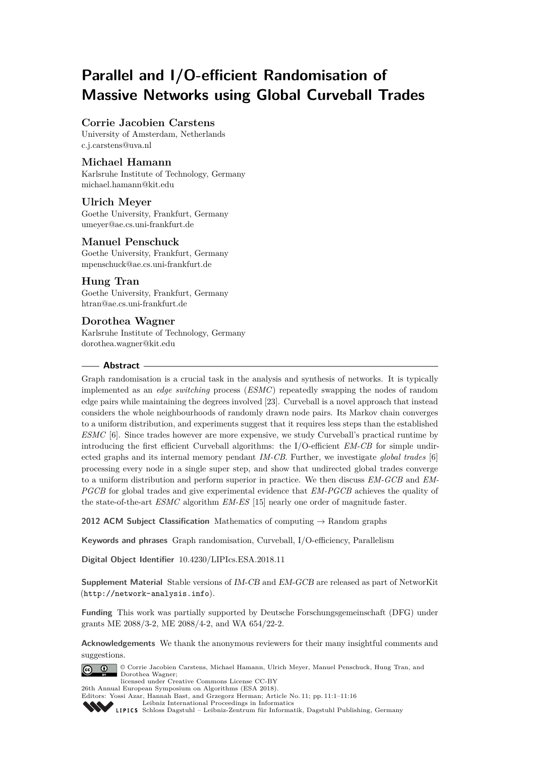# **Parallel and I/O-efficient Randomisation of Massive Networks using Global Curveball Trades**

# **Corrie Jacobien Carstens**

University of Amsterdam, Netherlands [c.j.carstens@uva.nl](mailto:c.j.carstens@uva.nl)

# **Michael Hamann**

Karlsruhe Institute of Technology, Germany [michael.hamann@kit.edu](mailto:michael.hamann@kit.edu)

# **Ulrich Meyer**

Goethe University, Frankfurt, Germany [umeyer@ae.cs.uni-frankfurt.de](mailto:umeyer@ae.cs.uni-frankfurt.de)

# **Manuel Penschuck**

Goethe University, Frankfurt, Germany [mpenschuck@ae.cs.uni-frankfurt.de](mailto:mpenschuck@ae.cs.uni-frankfurt.de)

# **Hung Tran**

Goethe University, Frankfurt, Germany [htran@ae.cs.uni-frankfurt.de](mailto:htran@ae.cs.uni-frankfurt.de)

# **Dorothea Wagner**

Karlsruhe Institute of Technology, Germany [dorothea.wagner@kit.edu](mailto:dorothea.wagner@kit.edu)

## **Abstract**

Graph randomisation is a crucial task in the analysis and synthesis of networks. It is typically implemented as an *edge switching* process (*ESMC*) repeatedly swapping the nodes of random edge pairs while maintaining the degrees involved [\[23\]](#page-14-0). Curveball is a novel approach that instead considers the whole neighbourhoods of randomly drawn node pairs. Its Markov chain converges to a uniform distribution, and experiments suggest that it requires less steps than the established *ESMC* [\[6\]](#page-13-0). Since trades however are more expensive, we study Curveball's practical runtime by introducing the first efficient Curveball algorithms: the I/O-efficient *EM-CB* for simple undirected graphs and its internal memory pendant *IM-CB*. Further, we investigate *global trades* [\[6\]](#page-13-0) processing every node in a single super step, and show that undirected global trades converge to a uniform distribution and perform superior in practice. We then discuss *EM-GCB* and *EM-PGCB* for global trades and give experimental evidence that *EM-PGCB* achieves the quality of the state-of-the-art *ESMC* algorithm *EM-ES* [\[15\]](#page-13-1) nearly one order of magnitude faster.

**2012 ACM Subject Classification** Mathematics of computing → Random graphs

**Keywords and phrases** Graph randomisation, Curveball, I/O-efficiency, Parallelism

**Digital Object Identifier** [10.4230/LIPIcs.ESA.2018.11](http://dx.doi.org/10.4230/LIPIcs.ESA.2018.11)

**Supplement Material** Stable versions of [IM-CB](#page-7-0) and [EM-GCB](#page-8-0) are released as part of NetworKit (<http://network-analysis.info>).

**Funding** This work was partially supported by Deutsche Forschungsgemeinschaft (DFG) under grants ME 2088/3-2, ME 2088/4-2, and WA 654/22-2.

**Acknowledgements** We thank the anonymous reviewers for their many insightful comments and suggestions.



© Corrie Jacobien Carstens, Michael Hamann, Ulrich Meyer, Manuel Penschuck, Hung Tran, and Dorothea Wagner; licensed under Creative Commons License CC-BY

26th Annual European Symposium on Algorithms (ESA 2018).

Editors: Yossi Azar, Hannah Bast, and Grzegorz Herman; Article No. 11; pp. 11:1–11[:16](#page-15-0) [Leibniz International Proceedings in Informatics](http://www.dagstuhl.de/lipics/)

[Schloss Dagstuhl – Leibniz-Zentrum für Informatik, Dagstuhl Publishing, Germany](http://www.dagstuhl.de)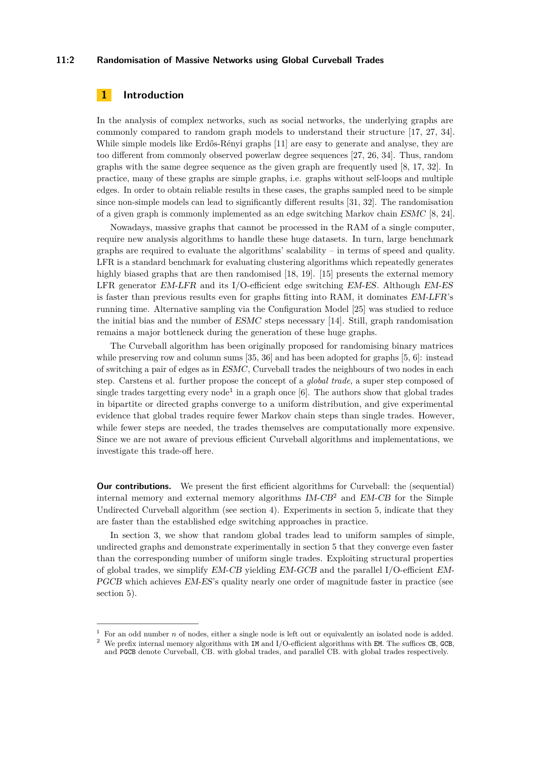#### **11:2 Randomisation of Massive Networks using Global Curveball Trades**

# <span id="page-1-0"></span>**1 Introduction**

In the analysis of complex networks, such as social networks, the underlying graphs are commonly compared to random graph models to understand their structure [\[17,](#page-13-2) [27,](#page-14-1) [34\]](#page-14-2). While simple models like Erdős-Rényi graphs [\[11\]](#page-13-3) are easy to generate and analyse, they are too different from commonly observed powerlaw degree sequences [\[27,](#page-14-1) [26,](#page-14-3) [34\]](#page-14-2). Thus, random graphs with the same degree sequence as the given graph are frequently used [\[8,](#page-13-4) [17,](#page-13-2) [32\]](#page-14-4). In practice, many of these graphs are simple graphs, i.e. graphs without self-loops and multiple edges. In order to obtain reliable results in these cases, the graphs sampled need to be simple since non-simple models can lead to significantly different results [\[31,](#page-14-5) [32\]](#page-14-4). The randomisation of a given graph is commonly implemented as an edge switching Markov chain [ESMC](#page-3-0) [\[8,](#page-13-4) [24\]](#page-14-6).

Nowadays, massive graphs that cannot be processed in the RAM of a single computer, require new analysis algorithms to handle these huge datasets. In turn, large benchmark graphs are required to evaluate the algorithms' scalability – in terms of speed and quality. LFR is a standard benchmark for evaluating clustering algorithms which repeatedly generates highly biased graphs that are then randomised [\[18,](#page-13-5) [19\]](#page-14-7). [\[15\]](#page-13-1) presents the external memory LFR generator [EM-LFR](#page-1-0) and its I/O-efficient edge switching [EM-ES](#page-1-0). Although [EM-ES](#page-1-0) is faster than previous results even for graphs fitting into RAM, it dominates [EM-LFR](#page-1-0)'s running time. Alternative sampling via the Configuration Model [\[25\]](#page-14-8) was studied to reduce the initial bias and the number of [ESMC](#page-3-0) steps necessary [\[14\]](#page-13-6). Still, graph randomisation remains a major bottleneck during the generation of these huge graphs.

The Curveball algorithm has been originally proposed for randomising binary matrices while preserving row and column sums [\[35,](#page-14-9) [36\]](#page-14-10) and has been adopted for graphs [\[5,](#page-13-7) [6\]](#page-13-0): instead of switching a pair of edges as in [ESMC](#page-3-0), Curveball trades the neighbours of two nodes in each step. Carstens et al. further propose the concept of a *global trade*, a super step composed of single trades targetting every node<sup>[1](#page-1-1)</sup> in a graph once  $[6]$ . The authors show that global trades in bipartite or directed graphs converge to a uniform distribution, and give experimental evidence that global trades require fewer Markov chain steps than single trades. However, while fewer steps are needed, the trades themselves are computationally more expensive. Since we are not aware of previous efficient Curveball algorithms and implementations, we investigate this trade-off here.

**Our contributions.** We present the first efficient algorithms for Curveball: the (sequential) internal memory and external memory algorithms  $IM-CB<sup>2</sup>$  $IM-CB<sup>2</sup>$  $IM-CB<sup>2</sup>$  $IM-CB<sup>2</sup>$  and  $EM-CB$  for the Simple Undirected Curveball algorithm (see [section 4\)](#page-5-0). Experiments in [section 5,](#page-10-0) indicate that they are faster than the established edge switching approaches in practice.

In [section 3,](#page-3-1) we show that random global trades lead to uniform samples of simple, undirected graphs and demonstrate experimentally in [section 5](#page-10-0) that they converge even faster than the corresponding number of uniform single trades. Exploiting structural properties of global trades, we simplify [EM-CB](#page-6-0) yielding [EM-GCB](#page-8-0) and the parallel I/O-efficient [EM-](#page-9-0)[PGCB](#page-9-0) which achieves [EM-ES](#page-1-0)'s quality nearly one order of magnitude faster in practice (see [section 5\)](#page-10-0).

<span id="page-1-1"></span><sup>1</sup> For an odd number *n* of nodes, either a single node is left out or equivalently an isolated node is added.

<span id="page-1-2"></span> $2$  We prefix internal memory algorithms with IM and I/O-efficient algorithms with EM. The suffices CB, GCB, and PGCB denote Curveball, CB. with global trades, and parallel CB. with global trades respectively.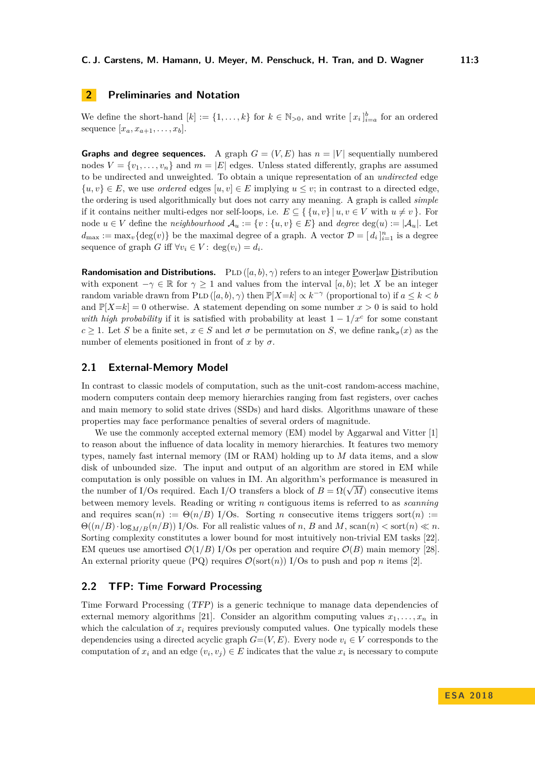# **2 Preliminaries and Notation**

We define the short-hand  $[k] := \{1, \ldots, k\}$  for  $k \in \mathbb{N}_{>0}$ , and write  $[x_i]_{i=a}^b$  for an ordered sequence  $[x_a, x_{a+1}, \ldots, x_b]$ .

**Graphs and degree sequences.** A graph  $G = (V, E)$  has  $n = |V|$  sequentially numbered nodes  $V = \{v_1, \ldots, v_n\}$  and  $m = |E|$  edges. Unless stated differently, graphs are assumed to be undirected and unweighted. To obtain a unique representation of an *undirected* edge  $\{u, v\} \in E$ , we use *ordered* edges  $[u, v] \in E$  implying  $u \leq v$ ; in contrast to a directed edge, the ordering is used algorithmically but does not carry any meaning. A graph is called *simple* if it contains neither multi-edges nor self-loops, i.e.  $E \subseteq \{ \{u, v\} | u, v \in V \text{ with } u \neq v \}.$  For node  $u \in V$  define the *neighbourhood*  $\mathcal{A}_u := \{v : \{u, v\} \in E\}$  and *degree* deg(*u*) :=  $|\mathcal{A}_u|$ . Let  $d_{\text{max}} := \max_v {\text{deg}(v)}$  be the maximal degree of a graph. A vector  $\mathcal{D} = [d_i]_{i=1}^n$  is a degree sequence of graph *G* iff  $\forall v_i \in V : \deg(v_i) = d_i$ .

**Randomisation and Distributions.** PLD ([a, b), γ) refers to an integer Powerlaw Distribution with exponent  $-\gamma \in \mathbb{R}$  for  $\gamma > 1$  and values from the interval [a, b); let X be an integer random variable drawn from PLD  $([a, b), \gamma)$  then  $\mathbb{P}[X=k] \propto k^{-\gamma}$  (proportional to) if  $a \leq k < b$ and  $\mathbb{P}[X=k] = 0$  otherwise. A statement depending on some number  $x > 0$  is said to hold *with high probability* if it is satisfied with probability at least  $1 - 1/x^c$  for some constant  $c \geq 1$ . Let *S* be a finite set,  $x \in S$  and let  $\sigma$  be permutation on *S*, we define rank<sub>*σ*</sub>(*x*) as the number of elements positioned in front of  $x$  by  $\sigma$ .

## **2.1 External-Memory Model**

In contrast to classic models of computation, such as the unit-cost random-access machine, modern computers contain deep memory hierarchies ranging from fast registers, over caches and main memory to solid state drives (SSDs) and hard disks. Algorithms unaware of these properties may face performance penalties of several orders of magnitude.

We use the commonly accepted external memory  $(EM)$  model by Aggarwal and Vitter [\[1\]](#page-13-8) to reason about the influence of data locality in memory hierarchies. It features two memory types, namely fast internal memory (IM or RAM) holding up to *M* data items, and a slow disk of unbounded size. The input and output of an algorithm are stored in EM while computation is only possible on values in IM. An algorithm's performance is measured in computation is only possible on values in IM. An algorithm's performance is measured in<br>the number of I/Os required. Each I/O transfers a block of  $B = \Omega(\sqrt{M})$  consecutive items between memory levels. Reading or writing *n* contiguous items is referred to as *scanning* and requires  $\operatorname{scan}(n) := \Theta(n/B)$  I/Os. Sorting *n* consecutive items triggers sort $(n) :=$  $\Theta((n/B)\cdot \log_{M/R}(n/B))$  I/Os. For all realistic values of *n*, *B* and *M*, scan(*n*)  $\lt \text{sort}(n) \ll n$ . Sorting complexity constitutes a lower bound for most intuitively non-trivial EM tasks [\[22\]](#page-14-11). EM queues use amortised  $\mathcal{O}(1/B)$  I/Os per operation and require  $\mathcal{O}(B)$  main memory [\[28\]](#page-14-12). An external priority queue (PQ) requires  $\mathcal{O}(\text{sort}(n))$  I/Os to push and pop *n* items [\[2\]](#page-13-9).

# <span id="page-2-0"></span>**2.2 TFP: Time Forward Processing**

Time Forward Processing ([TFP](#page-2-0)) is a generic technique to manage data dependencies of external memory algorithms [\[21\]](#page-14-13). Consider an algorithm computing values  $x_1, \ldots, x_n$  in which the calculation of  $x_i$  requires previously computed values. One typically models these dependencies using a directed acyclic graph  $G=(V, E)$ . Every node  $v_i \in V$  corresponds to the computation of  $x_i$  and an edge  $(v_i, v_j) \in E$  indicates that the value  $x_i$  is necessary to compute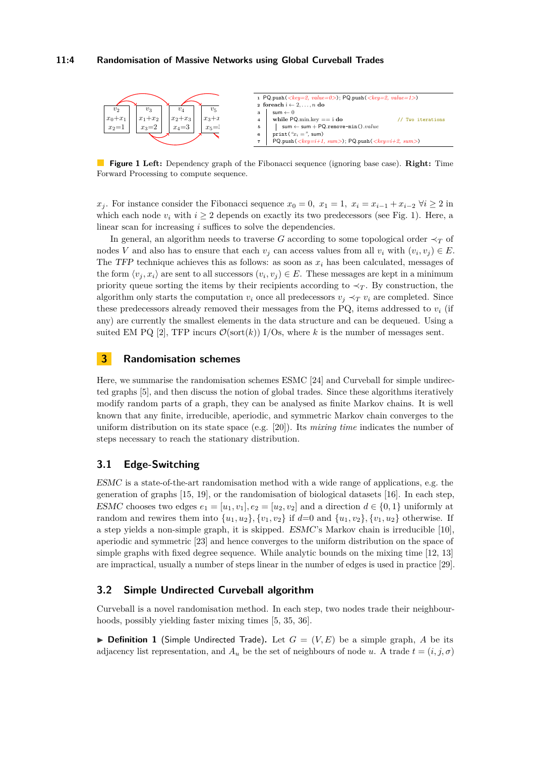#### **11:4 Randomisation of Massive Networks using Global Curveball Trades**

<span id="page-3-2"></span>

**Figure 1 Left:** Dependency graph of the Fibonacci sequence (ignoring base case). **Right:** Time Forward Processing to compute sequence.

*x*<sub>j</sub>. For instance consider the Fibonacci sequence  $x_0 = 0$ ,  $x_1 = 1$ ,  $x_i = x_{i-1} + x_{i-2}$  ∀*i* ≥ 2 in which each node  $v_i$  with  $i \geq 2$  depends on exactly its two predecessors (see Fig. [1\)](#page-3-2). Here, a linear scan for increasing *i* suffices to solve the dependencies.

In general, an algorithm needs to traverse *G* according to some topological order  $\prec_T$  of nodes *V* and also has to ensure that each  $v_j$  can access values from all  $v_i$  with  $(v_i, v_j) \in E$ . The [TFP](#page-2-0) technique achieves this as follows: as soon as  $x_i$  has been calculated, messages of the form  $\langle v_j, x_i \rangle$  are sent to all successors  $(v_i, v_j) \in E$ . These messages are kept in a minimum priority queue sorting the items by their recipients according to  $\prec_T$ . By construction, the algorithm only starts the computation  $v_i$  once all predecessors  $v_j \prec_T v_i$  are completed. Since these predecessors already removed their messages from the PQ, items addressed to  $v_i$  (if any) are currently the smallest elements in the data structure and can be dequeued. Using a suited EM PQ [\[2\]](#page-13-9), TFP incurs  $\mathcal{O}(\text{sort}(k))$  I/Os, where k is the number of messages sent.

## <span id="page-3-1"></span>**3 Randomisation schemes**

Here, we summarise the randomisation schemes ESMC [\[24\]](#page-14-6) and Curveball for simple undirected graphs [\[5\]](#page-13-7), and then discuss the notion of global trades. Since these algorithms iteratively modify random parts of a graph, they can be analysed as finite Markov chains. It is well known that any finite, irreducible, aperiodic, and symmetric Markov chain converges to the uniform distribution on its state space (e.g. [\[20\]](#page-14-14)). Its *mixing time* indicates the number of steps necessary to reach the stationary distribution.

## <span id="page-3-0"></span>**3.1 Edge-Switching**

[ESMC](#page-3-0) is a state-of-the-art randomisation method with a wide range of applications, e.g. the generation of graphs [\[15,](#page-13-1) [19\]](#page-14-7), or the randomisation of biological datasets [\[16\]](#page-13-10). In each step, [ESMC](#page-3-0) chooses two edges  $e_1 = [u_1, v_1], e_2 = [u_2, v_2]$  and a direction  $d \in \{0, 1\}$  uniformly at random and rewires them into  $\{u_1, u_2\}$ ,  $\{v_1, v_2\}$  if  $d=0$  and  $\{u_1, v_2\}$ ,  $\{v_1, u_2\}$  otherwise. If a step yields a non-simple graph, it is skipped. [ESMC](#page-3-0)'s Markov chain is irreducible [\[10\]](#page-13-11), aperiodic and symmetric [\[23\]](#page-14-0) and hence converges to the uniform distribution on the space of simple graphs with fixed degree sequence. While analytic bounds on the mixing time [\[12,](#page-13-12) [13\]](#page-13-13) are impractical, usually a number of steps linear in the number of edges is used in practice [\[29\]](#page-14-15).

## <span id="page-3-3"></span>**3.2 Simple Undirected Curveball algorithm**

Curveball is a novel randomisation method. In each step, two nodes trade their neighbourhoods, possibly yielding faster mixing times [\[5,](#page-13-7) [35,](#page-14-9) [36\]](#page-14-10).

 $\triangleright$  **Definition 1** (Simple Undirected Trade). Let  $G = (V, E)$  be a simple graph, A be its adjacency list representation, and  $A_u$  be the set of neighbours of node *u*. A trade  $t = (i, j, \sigma)$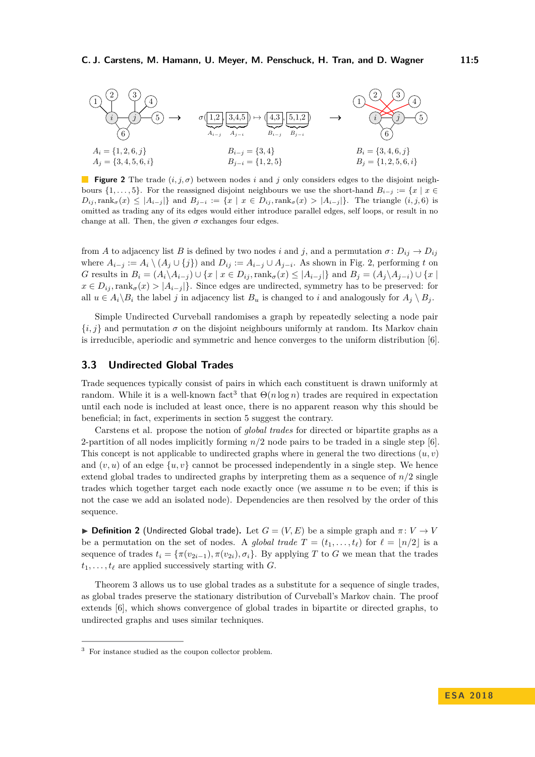<span id="page-4-0"></span>

**Figure 2** The trade (*i, j, σ*) between nodes *i* and *j* only considers edges to the disjoint neighbours  $\{1, \ldots, 5\}$ . For the reassigned disjoint neighbours we use the short-hand  $B_{i-j} := \{x \mid x \in$  $D_{ij}$ , rank $_{\sigma}(x) \leq |A_{i-j}|\}$  and  $B_{j-i} := \{x \mid x \in D_{ij}, \text{rank}_{\sigma}(x) > |A_{i-j}|\}.$  The triangle  $(i, j, 6)$  is omitted as trading any of its edges would either introduce parallel edges, self loops, or result in no change at all. Then, the given  $\sigma$  exchanges four edges.

from *A* to adjacency list *B* is defined by two nodes *i* and *j*, and a permutation  $\sigma: D_{ij} \to D_{ij}$ where  $A_{i-j} := A_i \setminus (A_j \cup \{j\})$  and  $D_{ij} := A_{i-j} \cup A_{j-i}$ . As shown in Fig. [2,](#page-4-0) performing *t* on G results in  $B_i = (A_i \setminus A_{i-j}) \cup \{x \mid x \in D_{ij}, \text{rank}_{\sigma}(x) \leq |A_{i-j}|\}$  and  $B_j = (A_j \setminus A_{j-i}) \cup \{x \mid x \in D_{ij}, x \in D_{ij}\}$  $x \in D_{ij}$ , rank $\sigma(x) > |A_{i-j}|$ . Since edges are undirected, symmetry has to be preserved: for all  $u \in A_i \setminus B_i$  the label *j* in adjacency list  $B_u$  is changed to *i* and analogously for  $A_j \setminus B_j$ .

Simple Undirected Curveball randomises a graph by repeatedly selecting a node pair  ${i, j}$  and permutation  $\sigma$  on the disjoint neighbours uniformly at random. Its Markov chain is irreducible, aperiodic and symmetric and hence converges to the uniform distribution [\[6\]](#page-13-0).

## <span id="page-4-3"></span>**3.3 Undirected Global Trades**

Trade sequences typically consist of pairs in which each constituent is drawn uniformly at random. While it is a well-known fact<sup>[3](#page-4-1)</sup> that  $\Theta(n \log n)$  trades are required in expectation until each node is included at least once, there is no apparent reason why this should be beneficial; in fact, experiments in [section 5](#page-10-0) suggest the contrary.

Carstens et al. propose the notion of *global trades* for directed or bipartite graphs as a 2-partition of all nodes implicitly forming *n/*2 node pairs to be traded in a single step [\[6\]](#page-13-0). This concept is not applicable to undirected graphs where in general the two directions  $(u, v)$ and  $(v, u)$  of an edge  $\{u, v\}$  cannot be processed independently in a single step. We hence extend global trades to undirected graphs by interpreting them as a sequence of  $n/2$  single trades which together target each node exactly once (we assume *n* to be even; if this is not the case we add an isolated node). Dependencies are then resolved by the order of this sequence.

<span id="page-4-2"></span> $\blacktriangleright$  **Definition 2** (Undirected Global trade). Let  $G = (V, E)$  be a simple graph and  $\pi: V \to V$ be a permutation on the set of nodes. A *global trade*  $T = (t_1, \ldots, t_\ell)$  for  $\ell = |n/2|$  is a sequence of trades  $t_i = \{\pi(v_{2i-1}), \pi(v_{2i}), \sigma_i\}$ . By applying *T* to *G* we mean that the trades  $t_1, \ldots, t_\ell$  are applied successively starting with *G*.

Theorem [3](#page-5-1) allows us to use global trades as a substitute for a sequence of single trades, as global trades preserve the stationary distribution of Curveball's Markov chain. The proof extends [\[6\]](#page-13-0), which shows convergence of global trades in bipartite or directed graphs, to undirected graphs and uses similar techniques.

<span id="page-4-1"></span><sup>3</sup> For instance studied as the coupon collector problem.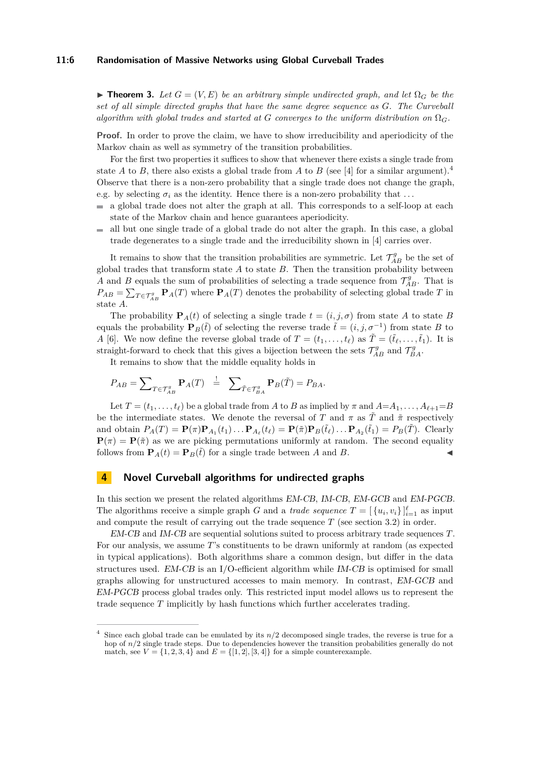#### **11:6 Randomisation of Massive Networks using Global Curveball Trades**

<span id="page-5-1"></span>**► Theorem 3.** Let  $G = (V, E)$  be an arbitrary simple undirected graph, and let  $\Omega_G$  be the *set of all simple directed graphs that have the same degree sequence as G. The Curveball algorithm with global trades and started at G converges to the uniform distribution on*  $\Omega_G$ .

**Proof.** In order to prove the claim, we have to show irreducibility and aperiodicity of the Markov chain as well as symmetry of the transition probabilities.

For the first two properties it suffices to show that whenever there exists a single trade from state *A* to *B*, there also exists a global trade from *A* to *B* (see [\[4\]](#page-13-14) for a similar argument).<sup>[4](#page-5-2)</sup> Observe that there is a non-zero probability that a single trade does not change the graph, e.g. by selecting  $\sigma_i$  as the identity. Hence there is a non-zero probability that ...

- $\blacksquare$  a global trade does not alter the graph at all. This corresponds to a self-loop at each state of the Markov chain and hence guarantees aperiodicity.
- all but one single trade of a global trade do not alter the graph. In this case, a global trade degenerates to a single trade and the irreducibility shown in [\[4\]](#page-13-14) carries over.

It remains to show that the transition probabilities are symmetric. Let  $\mathcal{T}_{AB}^g$  be the set of global trades that transform state *A* to state *B*. Then the transition probability between *A* and *B* equals the sum of probabilities of selecting a trade sequence from  $\mathcal{T}_{AB}^g$ . That is  $P_{AB} = \sum_{T \in \mathcal{T}_{AB}^g} \mathbf{P}_A(T)$  where  $\mathbf{P}_A(T)$  denotes the probability of selecting global trade *T* in state *A*.

The probability  $P_A(t)$  of selecting a single trade  $t = (i, j, \sigma)$  from state *A* to state *B* equals the probability  $\mathbf{P}_B(\tilde{t})$  of selecting the reverse trade  $\tilde{t} = (i, j, \sigma^{-1})$  from state *B* to *A* [\[6\]](#page-13-0). We now define the reverse global trade of  $T = (t_1, \ldots, t_\ell)$  as  $\tilde{T} = (\tilde{t}_\ell, \ldots, \tilde{t}_1)$ . It is straight-forward to check that this gives a bijection between the sets  $\mathcal{T}_{AB}^g$  and  $\mathcal{T}_{BA}^g$ .

It remains to show that the middle equality holds in

$$
P_{AB} = \sum\nolimits_{T \in \mathcal{T}_{AB}^g} \mathbf{P}_A(T) \stackrel{!}{=} \sum\nolimits_{\tilde{T} \in \mathcal{T}_{BA}^g} \mathbf{P}_B(\tilde{T}) = P_{BA}.
$$

Let  $T = (t_1, \ldots, t_\ell)$  be a global trade from *A* to *B* as implied by  $\pi$  and  $A = A_1, \ldots, A_{\ell+1} = B$ be the intermediate states. We denote the reversal of *T* and  $\pi$  as  $\tilde{T}$  and  $\tilde{\pi}$  respectively and obtain  $P_A(T) = \mathbf{P}(\pi)\mathbf{P}_{A_1}(t_1)\dots\mathbf{P}_{A_\ell}(t_\ell) = \mathbf{P}(\tilde{\pi})\mathbf{P}_B(\tilde{t}_\ell)\dots\mathbf{P}_{A_2}(\tilde{t}_1) = P_B(\tilde{T})$ . Clearly  $P(\pi) = P(\tilde{\pi})$  as we are picking permutations uniformly at random. The second equality follows from  $\mathbf{P}_A(t) = \mathbf{P}_B(\tilde{t})$  for a single trade between *A* and *B*.

## <span id="page-5-0"></span>**4 Novel Curveball algorithms for undirected graphs**

In this section we present the related algorithms [EM-CB](#page-6-0), [IM-CB](#page-7-0), [EM-GCB](#page-8-0) and [EM-PGCB](#page-9-0). The algorithms receive a simple graph *G* and a *trade sequence*  $T = \left[\{u_i, v_i\}\right]_{i=1}^{\ell}$  as input and compute the result of carrying out the trade sequence *T* (see section [3.2\)](#page-3-3) in order.

[EM-CB](#page-6-0) and [IM-CB](#page-7-0) are sequential solutions suited to process arbitrary trade sequences *T*. For our analysis, we assume *T*'s constituents to be drawn uniformly at random (as expected in typical applications). Both algorithms share a common design, but differ in the data structures used. [EM-CB](#page-6-0) is an I/O-efficient algorithm while [IM-CB](#page-7-0) is optimised for small graphs allowing for unstructured accesses to main memory. In contrast, [EM-GCB](#page-8-0) and [EM-PGCB](#page-9-0) process global trades only. This restricted input model allows us to represent the trade sequence *T* implicitly by hash functions which further accelerates trading.

<span id="page-5-2"></span>Since each global trade can be emulated by its  $n/2$  decomposed single trades, the reverse is true for a hop of  $n/2$  single trade steps. Due to dependencies however the transition probabilities generally do not match, see  $V = \{1, 2, 3, 4\}$  and  $E = \{[1, 2], [3, 4]\}$  for a simple counterexample.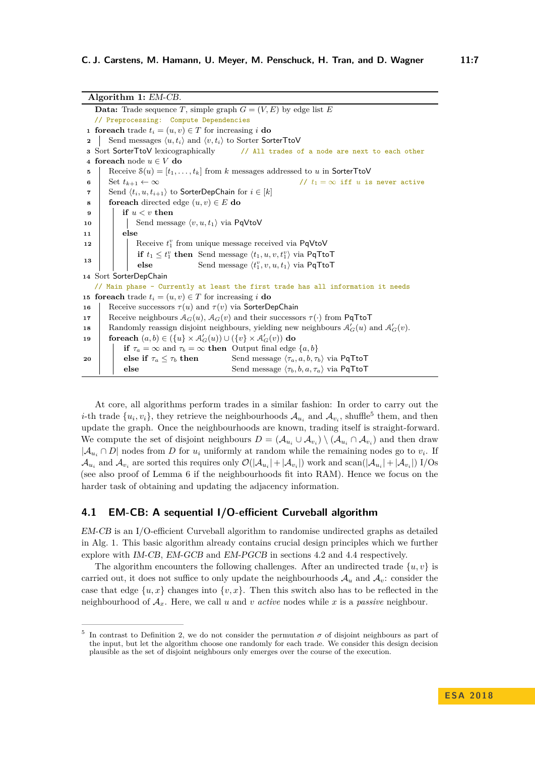**Algorithm 1:** [EM-CB](#page-6-0). **Data:** Trade sequence *T*, simple graph  $G = (V, E)$  by edge list *E* // Preprocessing: Compute Dependencies **1 foreach** trade  $t_i = (u, v) \in T$  for increasing *i* **do 2** Send messages  $\langle u, t_i \rangle$  and  $\langle v, t_i \rangle$  to Sorter SorterTtoV **<sup>3</sup>** Sort SorterTtoV lexicographically // All trades of a node are next to each other **<sup>4</sup> foreach** node *u* ∈ *V* **do 5** Receive  $\mathcal{S}(u) = [t_1, \ldots, t_k]$  from *k* messages addressed to *u* in SorterTtoV **6** Set  $t_{k+1} \leftarrow \infty$  //  $t_1 = \infty$  if *u* is never active **7** Send  $\langle t_i, u, t_{i+1} \rangle$  to SorterDepChain for  $i \in [k]$ **8 foreach** directed edge  $(u, v) \in E$  **do <sup>9</sup> if** *u < v* **then 10**  $\vert$   $\vert$  Send message  $\langle v, u, t_1 \rangle$  via PqVtoV **<sup>11</sup> else 12**  $\vert$  Receive  $t_1^v$  from unique message received via PqVtoV **13 if**  $t_1 \leq t_1^v$  **then** Send message  $\langle t_1, u, v, t_1^v \rangle$  via PqTtoT **else** Send message  $\langle t_1^v, v, u, t_1 \rangle$  via PqTtoT **<sup>14</sup>** Sort SorterDepChain // Main phase – Currently at least the first trade has all information it needs **15 foreach** trade  $t_i = (u, v) \in T$  for increasing *i* **do 16** Receive successors  $\tau(u)$  and  $\tau(v)$  via SorterDepChain **17** Receive neighbours  $A_G(u)$ ,  $A_G(v)$  and their successors  $\tau(\cdot)$  from PqTtoT **18** Randomly reassign disjoint neighbours, yielding new neighbours  $\mathcal{A}'_G(u)$  and  $\mathcal{A}'_G(v)$ .  $\mathbf{19}$  **foreach**  $(a,b) \in (\{u\} \times \mathcal{A}'_G(u)) \cup (\{v\} \times \mathcal{A}'_G(v))$  do **20 if**  $\tau_a = \infty$  and  $\tau_b = \infty$  **then** Output final edge  $\{a, b\}$ **else if**  $\tau_a \leq \tau_b$  **then** Send message  $\langle \tau_a, a, b, \tau_b \rangle$  via PqTtoT **else** Send message  $\langle \tau_b, b, a, \tau_a \rangle$  via PqTtoT

<span id="page-6-2"></span>At core, all algorithms perform trades in a similar fashion: In order to carry out the *i*-th trade  $\{u_i, v_i\}$ , they retrieve the neighbourhoods  $\mathcal{A}_{u_i}$  and  $\mathcal{A}_{v_i}$ , shuffle<sup>[5](#page-6-1)</sup> them, and then update the graph. Once the neighbourhoods are known, trading itself is straight-forward. We compute the set of disjoint neighbours  $D = (\mathcal{A}_{u_i} \cup \mathcal{A}_{v_i}) \setminus (\mathcal{A}_{u_i} \cap \mathcal{A}_{v_i})$  and then draw  $|\mathcal{A}_{u_i} \cap D|$  nodes from *D* for  $u_i$  uniformly at random while the remaining nodes go to  $v_i$ . If  $\mathcal{A}_{u_i}$  and  $\mathcal{A}_{v_i}$  are sorted this requires only  $\mathcal{O}(|\mathcal{A}_{u_i}| + |\mathcal{A}_{v_i}|)$  work and scan $(|\mathcal{A}_{u_i}| + |\mathcal{A}_{v_i}|)$  I/Os (see also proof of Lemma [6](#page-8-1) if the neighbourhoods fit into RAM). Hence we focus on the harder task of obtaining and updating the adjacency information.

## <span id="page-6-0"></span>**4.1 EM-CB: A sequential I/O-efficient Curveball algorithm**

[EM-CB](#page-6-0) is an I/O-efficient Curveball algorithm to randomise undirected graphs as detailed in Alg. [1.](#page-6-2) This basic algorithm already contains crucial design principles which we further explore with [IM-CB](#page-7-0), [EM-GCB](#page-8-0) and [EM-PGCB](#page-9-0) in sections [4.2](#page-7-0) and [4.4](#page-9-0) respectively.

The algorithm encounters the following challenges. After an undirected trade  $\{u, v\}$  is carried out, it does not suffice to only update the neighbourhoods  $A_u$  and  $A_v$ : consider the case that edge  $\{u, x\}$  changes into  $\{v, x\}$ . Then this switch also has to be reflected in the neighbourhood of A*x*. Here, we call *u* and *v active* nodes while *x* is a *passive* neighbour.

<span id="page-6-1"></span><sup>&</sup>lt;sup>5</sup> In contrast to Definition [2,](#page-4-2) we do not consider the permutation  $\sigma$  of disjoint neighbours as part of the input, but let the algorithm choose one randomly for each trade. We consider this design decision plausible as the set of disjoint neighbours only emerges over the course of the execution.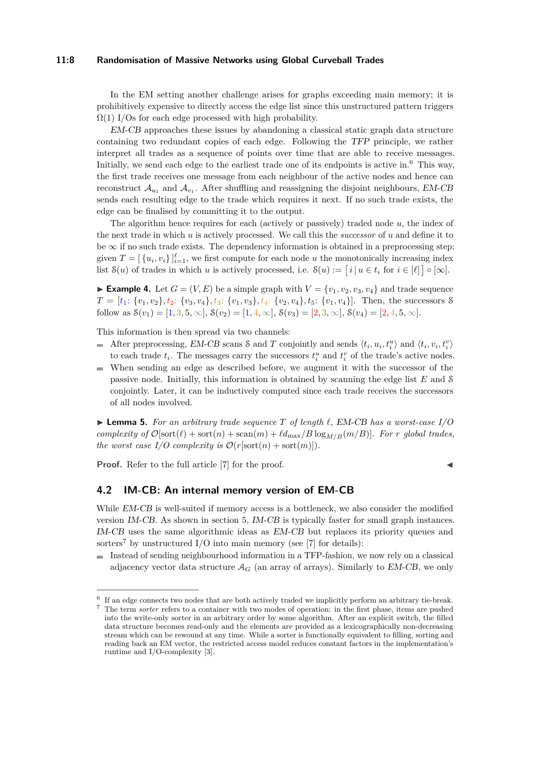#### **11:8 Randomisation of Massive Networks using Global Curveball Trades**

In the EM setting another challenge arises for graphs exceeding main memory; it is prohibitively expensive to directly access the edge list since this unstructured pattern triggers  $\Omega(1)$  I/Os for each edge processed with high probability.

[EM-CB](#page-6-0) approaches these issues by abandoning a classical static graph data structure containing two redundant copies of each edge. Following the [TFP](#page-2-0) principle, we rather interpret all trades as a sequence of points over time that are able to receive messages. Initially, we send each edge to the earliest trade one of its endpoints is active in.<sup>[6](#page-7-1)</sup> This way, the first trade receives one message from each neighbour of the active nodes and hence can reconstruct  $\mathcal{A}_{u_1}$  and  $\mathcal{A}_{v_1}$ . After shuffling and reassigning the disjoint neighbours, [EM-CB](#page-6-0) sends each resulting edge to the trade which requires it next. If no such trade exists, the edge can be finalised by committing it to the output.

The algorithm hence requires for each (actively or passively) traded node *u*, the index of the next trade in which *u* is actively processed. We call this the *successor* of *u* and define it to be  $\infty$  if no such trade exists. The dependency information is obtained in a preprocessing step; given  $T = \left[\{u_i, v_i\}\right]_{i=1}^{\ell}$ , we first compute for each node *u* the monotonically increasing index list  $S(u)$  of trades in which *u* is actively processed, i.e.  $S(u) := [i | u \in t_i \text{ for } i \in [\ell] \mid \infty]$ .

**Example 4.** Let  $G = (V, E)$  be a simple graph with  $V = \{v_1, v_2, v_3, v_4\}$  and trade sequence  $T = [t_1: \{v_1, v_2\}, t_2: \{v_3, v_4\}, t_3: \{v_1, v_3\}, t_4: \{v_2, v_4\}, t_5: \{v_1, v_4\}].$  Then, the successors S follow as  $S(v_1) = [1, 3, 5, \infty], S(v_2) = [1, 4, \infty], S(v_3) = [2, 3, \infty], S(v_4) = [2, 4, 5, \infty].$ 

This information is then spread via two channels:

- After preprocessing, [EM-CB](#page-6-0) scans  $\delta$  and  $T$  conjointly and sends  $\langle t_i, u_i, t_i^u \rangle$  and  $\langle t_i, v_i, t_i^v \rangle$ m. to each trade  $t_i$ . The messages carry the successors  $t_i^u$  and  $t_i^v$  of the trade's active nodes.
- When sending an edge as described before, we augment it with the successor of the passive node. Initially, this information is obtained by scanning the edge list *E* and S conjointly. Later, it can be inductively computed since each trade receives the successors of all nodes involved.

<span id="page-7-3"></span> $\blacktriangleright$  **Lemma 5.** For an arbitrary trade sequence T of length  $\ell$ , [EM-CB](#page-6-0) has a worst-case I/O *complexity of*  $\mathcal{O}[\text{sort}(\ell) + \text{sort}(n) + \text{scan}(m) + \ell d_{\text{max}}/B \log_{M/B}(m/B)]$ *. For r* global trades, *the worst case I/O complexity is*  $\mathcal{O}(r[\text{sort}(n) + \text{sort}(m)])$ *.* 

**Proof.** Refer to the full article [\[7\]](#page-13-15) for the proof.

# <span id="page-7-0"></span>**4.2 IM-CB: An internal memory version of EM-CB**

While [EM-CB](#page-6-0) is well-suited if memory access is a bottleneck, we also consider the modified version [IM-CB](#page-7-0). As shown in [section 5,](#page-10-0) [IM-CB](#page-7-0) is typically faster for small graph instances. [IM-CB](#page-7-0) uses the same algorithmic ideas as [EM-CB](#page-6-0) but replaces its priority queues and sorters<sup>[7](#page-7-2)</sup> by unstructured I/O into main memory (see [\[7\]](#page-13-15) for details):

Instead of sending neighbourhood information in a TFP-fashion, we now rely on a classical adjacency vector data structure  $A_G$  (an array of arrays). Similarly to *[EM-CB](#page-6-0)*, we only

<span id="page-7-1"></span><sup>&</sup>lt;sup>6</sup> If an edge connects two nodes that are both actively traded we implicitly perform an arbitrary tie-break.

<span id="page-7-2"></span><sup>7</sup> The term *sorter* refers to a container with two modes of operation: in the first phase, items are pushed into the write-only sorter in an arbitrary order by some algorithm. After an explicit switch, the filled data structure becomes read-only and the elements are provided as a lexicographically non-decreasing stream which can be rewound at any time. While a sorter is functionally equivalent to filling, sorting and reading back an EM vector, the restricted access model reduces constant factors in the implementation's runtime and I/O-complexity [\[3\]](#page-13-16).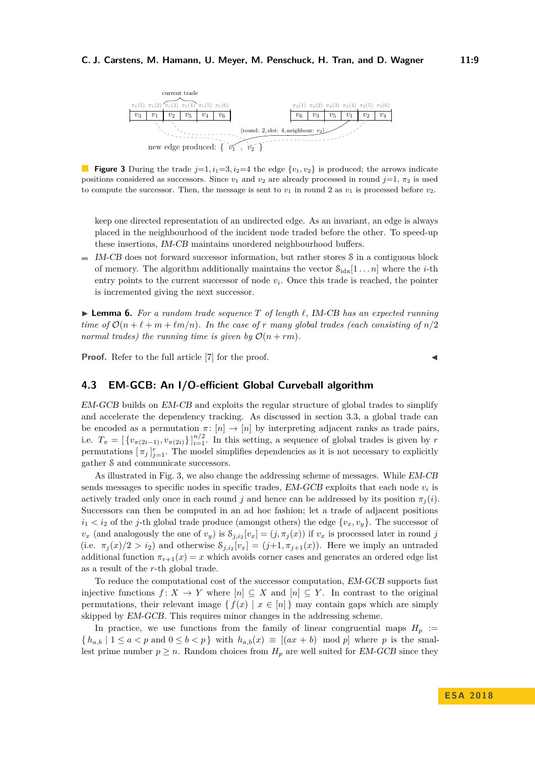#### <span id="page-8-2"></span>**C. J. Carstens, M. Hamann, U. Meyer, M. Penschuck, H. Tran, and D. Wagner 11:9**



**Figure 3** During the trade  $j=1, i_1=3, i_2=4$  the edge  $\{v_1, v_2\}$  is produced; the arrows indicate positions considered as successors. Since  $v_1$  and  $v_2$  are already processed in round  $j=1, \pi_2$  is used to compute the successor. Then, the message is sent to  $v_1$  in round 2 as  $v_1$  is processed before  $v_2$ .

keep one directed representation of an undirected edge. As an invariant, an edge is always placed in the neighbourhood of the incident node traded before the other. To speed-up these insertions, [IM-CB](#page-7-0) maintains unordered neighbourhood buffers.

 $\blacksquare$  [IM-CB](#page-7-0) does not forward successor information, but rather stores S in a contiguous block of memory. The algorithm additionally maintains the vector  $S_{\text{idx}}[1 \dots n]$  where the *i*-th entry points to the current successor of node  $v_i$ . Once this trade is reached, the pointer is incremented giving the next successor.

<span id="page-8-1"></span> $\blacktriangleright$  **Lemma 6.** For a random trade sequence T of length  $\ell$ , [IM-CB](#page-7-0) has an expected running *time of*  $\mathcal{O}(n + \ell + m + \ell m/n)$ *. In the case of r many global trades (each consisting of*  $n/2$ *) normal trades) the running time is given by*  $\mathcal{O}(n + rm)$ .

**Proof.** Refer to the full article [\[7\]](#page-13-15) for the proof.

# <span id="page-8-0"></span>**4.3 EM-GCB: An I/O-efficient Global Curveball algorithm**

[EM-GCB](#page-8-0) builds on [EM-CB](#page-6-0) and exploits the regular structure of global trades to simplify and accelerate the dependency tracking. As discussed in section [3.3,](#page-4-3) a global trade can be encoded as a permutation  $\pi$ :  $[n] \to [n]$  by interpreting adjacent ranks as trade pairs, i.e.  $T_{\pi} = \left[ \{ v_{\pi(2i-1)}, v_{\pi(2i)} \} \right]_{i=1}^{n/2}$ . In this setting, a sequence of global trades is given by *r* permutations  $[\pi_j]_{j=1}^r$ . The model simplifies dependencies as it is not necessary to explicitly gather S and communicate successors.

As illustrated in Fig. [3,](#page-8-2) we also change the addressing scheme of messages. While [EM-CB](#page-6-0) sends messages to specific nodes in specific trades,  $EM$ - $GCB$  exploits that each node  $v_i$  is actively traded only once in each round *j* and hence can be addressed by its position  $\pi_i(i)$ . Successors can then be computed in an ad hoc fashion; let a trade of adjacent positions  $i_1 < i_2$  of the *j*-th global trade produce (amongst others) the edge  $\{v_x, v_y\}$ . The successor of  $v_x$  (and analogously the one of  $v_y$ ) is  $S_{j,i_2}[v_x] = (j, \pi_j(x))$  if  $v_x$  is processed later in round *j* (i.e.  $\pi_j(x)/2 > i_2$ ) and otherwise  $S_{j,i_2}[v_x] = (j+1, \pi_{j+1}(x))$ . Here we imply an untraded additional function  $\pi_{r+1}(x) = x$  which avoids corner cases and generates an ordered edge list as a result of the *r*-th global trade.

To reduce the computational cost of the successor computation, [EM-GCB](#page-8-0) supports fast injective functions  $f: X \to Y$  where  $[n] \subseteq X$  and  $[n] \subseteq Y$ . In contrast to the original permutations, their relevant image  $\{f(x) | x \in [n]\}$  may contain gaps which are simply skipped by [EM-GCB](#page-8-0). This requires minor changes in the addressing scheme.

In practice, we use functions from the family of linear congruential maps  $H_p$  :=  ${h_{a,b} \mid 1 \le a < p \text{ and } 0 \le b < p}$  with  $h_{a,b}(x) \equiv [(ax + b) \mod p]$  where *p* is the smallest prime number  $p \geq n$ . Random choices from  $H_p$  are well suited for [EM-GCB](#page-8-0) since they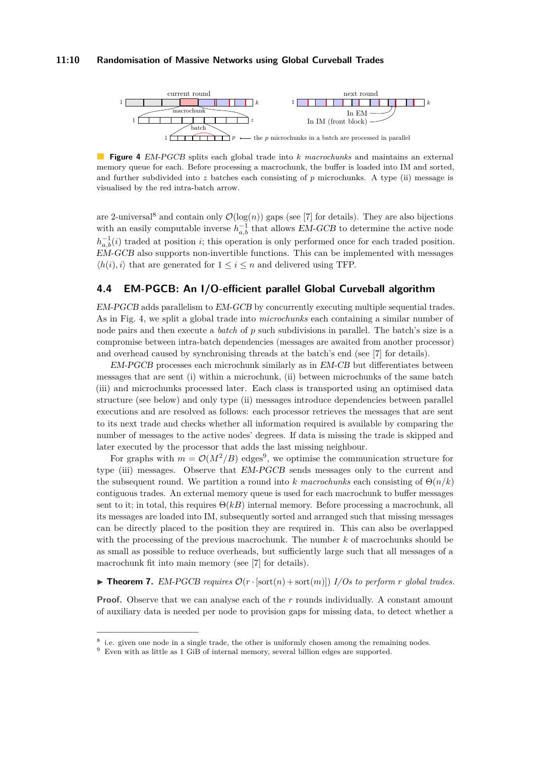#### **11:10 Randomisation of Massive Networks using Global Curveball Trades**

<span id="page-9-2"></span>

**Figure 4** [EM-PGCB](#page-9-0) splits each global trade into *k macrochunks* and maintains an external memory queue for each. Before processing a macrochunk, the buffer is loaded into IM and sorted, and further subdivided into  $z$  batches each consisting of  $p$  microchunks. A type (ii) message is visualised by the red intra-batch arrow.

are 2-universal<sup>[8](#page-9-1)</sup> and contain only  $\mathcal{O}(\log(n))$  gaps (see [\[7\]](#page-13-15) for details). They are also bijections with an easily computable inverse  $h_{a,b}^{-1}$  that allows [EM-GCB](#page-8-0) to determine the active node  $h_{a,b}^{-1}(i)$  traded at position *i*; this operation is only performed once for each traded position. [EM-GCB](#page-8-0) also supports non-invertible functions. This can be implemented with messages  $\langle h(i), i \rangle$  that are generated for  $1 \leq i \leq n$  and delivered using TFP.

# <span id="page-9-0"></span>**4.4 EM-PGCB: An I/O-efficient parallel Global Curveball algorithm**

[EM-PGCB](#page-9-0) adds parallelism to [EM-GCB](#page-8-0) by concurrently executing multiple sequential trades. As in Fig. [4,](#page-9-2) we split a global trade into *microchunks* each containing a similar number of node pairs and then execute a *batch* of *p* such subdivisions in parallel. The batch's size is a compromise between intra-batch dependencies (messages are awaited from another processor) and overhead caused by synchronising threads at the batch's end (see [\[7\]](#page-13-15) for details).

[EM-PGCB](#page-9-0) processes each microchunk similarly as in [EM-CB](#page-6-0) but differentiates between messages that are sent (i) within a microchunk, (ii) between microchunks of the same batch (iii) and microchunks processed later. Each class is transported using an optimised data structure (see below) and only type (ii) messages introduce dependencies between parallel executions and are resolved as follows: each processor retrieves the messages that are sent to its next trade and checks whether all information required is available by comparing the number of messages to the active nodes' degrees. If data is missing the trade is skipped and later executed by the processor that adds the last missing neighbour.

For graphs with  $m = \mathcal{O}(M^2/B)$  edges<sup>[9](#page-9-3)</sup>, we optimise the communication structure for type (iii) messages. Observe that [EM-PGCB](#page-9-0) sends messages only to the current and the subsequent round. We partition a round into *k* macrochunks each consisting of  $\Theta(n/k)$ contiguous trades. An external memory queue is used for each macrochunk to buffer messages sent to it; in total, this requires  $\Theta(kB)$  internal memory. Before processing a macrochunk, all its messages are loaded into IM, subsequently sorted and arranged such that missing messages can be directly placed to the position they are required in. This can also be overlapped with the processing of the previous macrochunk. The number *k* of macrochunks should be as small as possible to reduce overheads, but sufficiently large such that all messages of a macrochunk fit into main memory (see [\[7\]](#page-13-15) for details).

 $\triangleright$  **Theorem 7.** [EM-PGCB](#page-9-0) requires  $\mathcal{O}(r \cdot |\text{sort}(n) + \text{sort}(m)|)$  I/Os to perform *r* global trades.

**Proof.** Observe that we can analyse each of the *r* rounds individually. A constant amount of auxiliary data is needed per node to provision gaps for missing data, to detect whether a

<span id="page-9-1"></span><sup>&</sup>lt;sup>8</sup> i.e. given one node in a single trade, the other is uniformly chosen among the remaining nodes.

<span id="page-9-3"></span>Even with as little as 1 GiB of internal memory, several billion edges are supported.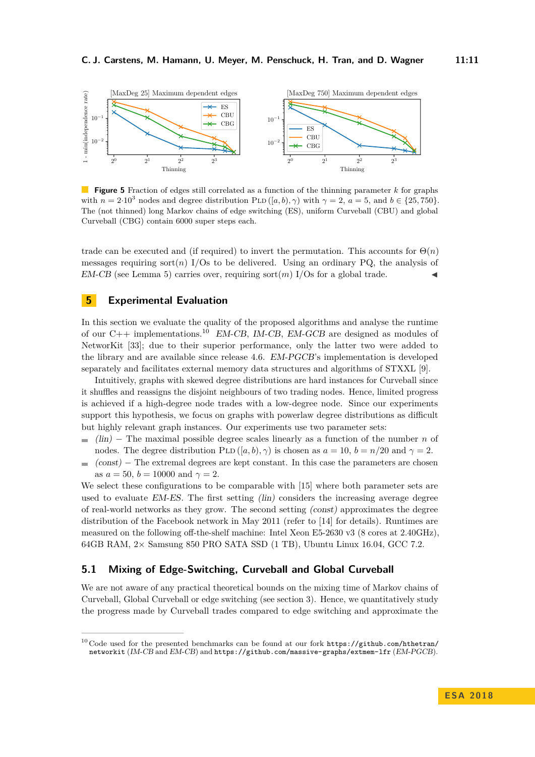<span id="page-10-2"></span>

**Figure 5** Fraction of edges still correlated as a function of the thinning parameter *k* for graphs with  $n = 2 \cdot 10^3$  nodes and degree distribution PLD ([*a, b*),  $\gamma$ ) with  $\gamma = 2$ ,  $a = 5$ , and  $b \in \{25, 750\}$ . The (not thinned) long Markov chains of edge switching (ES), uniform Curveball (CBU) and global Curveball (CBG) contain 6000 super steps each.

trade can be executed and (if required) to invert the permutation. This accounts for  $\Theta(n)$ messages requiring sort $(n)$  I/Os to be delivered. Using an ordinary PQ, the analysis of  $EM-CB$  (see Lemma [5\)](#page-7-3) carries over, requiring sort $(m)$  I/Os for a global trade.

# <span id="page-10-0"></span>**5 Experimental Evaluation**

In this section we evaluate the quality of the proposed algorithms and analyse the runtime of our C++ implementations.<sup>[10](#page-10-1)</sup> [EM-CB](#page-6-0), [IM-CB](#page-7-0), [EM-GCB](#page-8-0) are designed as modules of NetworKit [\[33\]](#page-14-16); due to their superior performance, only the latter two were added to the library and are available since release 4.6. [EM-PGCB](#page-9-0)'s implementation is developed separately and facilitates external memory data structures and algorithms of STXXL [\[9\]](#page-13-17).

Intuitively, graphs with skewed degree distributions are hard instances for Curveball since it shuffles and reassigns the disjoint neighbours of two trading nodes. Hence, limited progress is achieved if a high-degree node trades with a low-degree node. Since our experiments support this hypothesis, we focus on graphs with powerlaw degree distributions as difficult but highly relevant graph instances. Our experiments use two parameter sets:

- $\mathbf{r}$ (lin) − The maximal possible degree scales linearly as a function of the number *n* of nodes. The degree distribution PLD  $([a, b), \gamma)$  is chosen as  $a = 10$ ,  $b = n/20$  and  $\gamma = 2$ .
- $(cost)$  The extremal degrees are kept constant. In this case the parameters are chosen **COL** as  $a = 50$ ,  $b = 10000$  and  $\gamma = 2$ .

We select these configurations to be comparable with [\[15\]](#page-13-1) where both parameter sets are used to evaluate [EM-ES](#page-1-0). The first setting (lin) considers the increasing average degree of real-world networks as they grow. The second setting (const) approximates the degree distribution of the Facebook network in May 2011 (refer to [\[14\]](#page-13-6) for details). Runtimes are measured on the following off-the-shelf machine: Intel Xeon E5-2630 v3 (8 cores at 2.40GHz), 64GB RAM, 2× Samsung 850 PRO SATA SSD (1 TB), Ubuntu Linux 16.04, GCC 7.2.

## <span id="page-10-3"></span>**5.1 Mixing of Edge-Switching, Curveball and Global Curveball**

We are not aware of any practical theoretical bounds on the mixing time of Markov chains of Curveball, Global Curveball or edge switching (see [section 3\)](#page-3-1). Hence, we quantitatively study the progress made by Curveball trades compared to edge switching and approximate the

<span id="page-10-1"></span><sup>&</sup>lt;sup>10</sup> Code used for the presented benchmarks can be found at our fork [https://github.com/hthetran/](https://github.com/hthetran/networkit) [networkit](https://github.com/hthetran/networkit) ([IM-CB](#page-7-0) and [EM-CB](#page-6-0)) and <https://github.com/massive-graphs/extmem-lfr> ([EM-PGCB](#page-9-0)).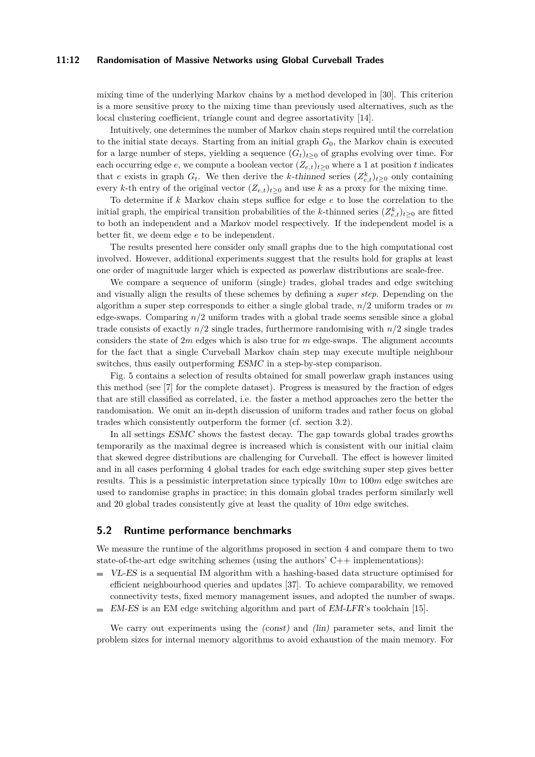#### **11:12 Randomisation of Massive Networks using Global Curveball Trades**

mixing time of the underlying Markov chains by a method developed in [\[30\]](#page-14-17). This criterion is a more sensitive proxy to the mixing time than previously used alternatives, such as the local clustering coefficient, triangle count and degree assortativity [\[14\]](#page-13-6).

Intuitively, one determines the number of Markov chain steps required until the correlation to the initial state decays. Starting from an initial graph *G*0, the Markov chain is executed for a large number of steps, yielding a sequence  $(G_t)_{t>0}$  of graphs evolving over time. For each occurring edge  $e$ , we compute a boolean vector  $(Z_{e,t})_{t>0}$  where a 1 at position *t* indicates that *e* exists in graph  $G_t$ . We then derive the *k*-thinned series  $(Z_{e,t}^k)_{t\geq 0}$  only containing every *k*-th entry of the original vector  $(Z_{e,t})_{t\geq 0}$  and use *k* as a proxy for the mixing time.

To determine if *k* Markov chain steps suffice for edge *e* to lose the correlation to the initial graph, the empirical transition probabilities of the *k*-thinned series  $(Z_{e,t}^k)_{t\geq 0}$  are fitted to both an independent and a Markov model respectively. If the independent model is a better fit, we deem edge *e* to be independent.

The results presented here consider only small graphs due to the high computational cost involved. However, additional experiments suggest that the results hold for graphs at least one order of magnitude larger which is expected as powerlaw distributions are scale-free.

We compare a sequence of uniform (single) trades, global trades and edge switching and visually align the results of these schemes by defining a *super step*. Depending on the algorithm a super step corresponds to either a single global trade, *n/*2 uniform trades or *m* edge-swaps. Comparing *n/*2 uniform trades with a global trade seems sensible since a global trade consists of exactly  $n/2$  single trades, furthermore randomising with  $n/2$  single trades considers the state of 2*m* edges which is also true for *m* edge-swaps. The alignment accounts for the fact that a single Curveball Markov chain step may execute multiple neighbour switches, thus easily outperforming [ESMC](#page-3-0) in a step-by-step comparison.

Fig. [5](#page-10-2) contains a selection of results obtained for small powerlaw graph instances using this method (see [\[7\]](#page-13-15) for the complete dataset). Progress is measured by the fraction of edges that are still classified as correlated, i.e. the faster a method approaches zero the better the randomisation. We omit an in-depth discussion of uniform trades and rather focus on global trades which consistently outperform the former (cf. section [3.2\)](#page-3-3).

In all settings [ESMC](#page-3-0) shows the fastest decay. The gap towards global trades growths temporarily as the maximal degree is increased which is consistent with our initial claim that skewed degree distributions are challenging for Curveball. The effect is however limited and in all cases performing 4 global trades for each edge switching super step gives better results. This is a pessimistic interpretation since typically 10*m* to 100*m* edge switches are used to randomise graphs in practice; in this domain global trades perform similarly well and 20 global trades consistently give at least the quality of 10*m* edge switches.

#### **5.2 Runtime performance benchmarks**

We measure the runtime of the algorithms proposed in section [4](#page-5-0) and compare them to two state-of-the-art edge switching schemes (using the authors'  $C++$  implementations):

- $\equiv$ [VL-ES](#page-10-0) is a sequential IM algorithm with a hashing-based data structure optimised for efficient neighbourhood queries and updates [\[37\]](#page-14-18). To achieve comparability, we removed connectivity tests, fixed memory management issues, and adopted the number of swaps.
- [EM-ES](#page-1-0) is an EM edge switching algorithm and part of [EM-LFR](#page-1-0)'s toolchain [\[15\]](#page-13-1). m.

We carry out experiments using the  $(const)$  and  $(lin)$  parameter sets, and limit the problem sizes for internal memory algorithms to avoid exhaustion of the main memory. For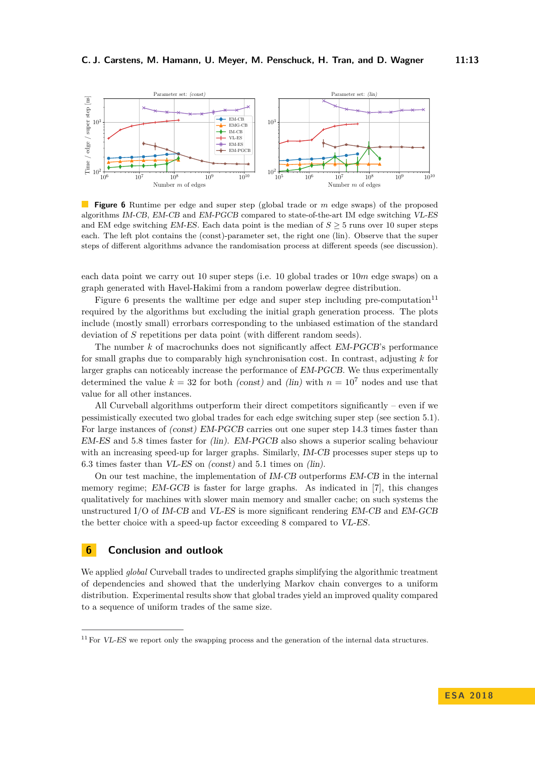<span id="page-12-0"></span>

**Figure 6** Runtime per edge and super step (global trade or *m* edge swaps) of the proposed algorithms [IM-CB](#page-7-0), [EM-CB](#page-6-0) and [EM-PGCB](#page-9-0) compared to state-of-the-art IM edge switching [VL-ES](#page-10-0) and EM edge switching  $EM$ -ES. Each data point is the median of  $S \geq 5$  runs over 10 super steps each. The left plot contains the (const)-parameter set, the right one (lin). Observe that the super steps of different algorithms advance the randomisation process at different speeds (see discussion).

each data point we carry out 10 super steps (i.e. 10 global trades or 10*m* edge swaps) on a graph generated with Havel-Hakimi from a random powerlaw degree distribution.

Figure [6](#page-12-0) presents the walltime per edge and super step including pre-computation $1<sup>11</sup>$  $1<sup>11</sup>$  $1<sup>11</sup>$ required by the algorithms but excluding the initial graph generation process. The plots include (mostly small) errorbars corresponding to the unbiased estimation of the standard deviation of *S* repetitions per data point (with different random seeds).

The number *k* of macrochunks does not significantly affect [EM-PGCB](#page-9-0)'s performance for small graphs due to comparably high synchronisation cost. In contrast, adjusting *k* for larger graphs can noticeably increase the performance of [EM-PGCB](#page-9-0). We thus experimentally determined the value  $k = 32$  for both *(const)* and *(lin)* with  $n = 10^7$  nodes and use that value for all other instances.

All Curveball algorithms outperform their direct competitors significantly – even if we pessimistically executed two global trades for each edge switching super step (see section [5.1\)](#page-10-3). For large instances of (const) [EM-PGCB](#page-9-0) carries out one super step 14*.*3 times faster than [EM-ES](#page-1-0) and 5*.*8 times faster for (lin). [EM-PGCB](#page-9-0) also shows a superior scaling behaviour with an increasing speed-up for larger graphs. Similarly, [IM-CB](#page-7-0) processes super steps up to 6*.*3 times faster than [VL-ES](#page-10-0) on (const) and 5*.*1 times on (lin).

On our test machine, the implementation of [IM-CB](#page-7-0) outperforms [EM-CB](#page-6-0) in the internal memory regime; [EM-GCB](#page-8-0) is faster for large graphs. As indicated in [\[7\]](#page-13-15), this changes qualitatively for machines with slower main memory and smaller cache; on such systems the unstructured I/O of [IM-CB](#page-7-0) and [VL-ES](#page-10-0) is more significant rendering [EM-CB](#page-6-0) and [EM-GCB](#page-8-0) the better choice with a speed-up factor exceeding 8 compared to [VL-ES](#page-10-0).

## **6 Conclusion and outlook**

We applied *global* Curveball trades to undirected graphs simplifying the algorithmic treatment of dependencies and showed that the underlying Markov chain converges to a uniform distribution. Experimental results show that global trades yield an improved quality compared to a sequence of uniform trades of the same size.

<span id="page-12-1"></span><sup>&</sup>lt;sup>11</sup> For *[VL-ES](#page-10-0)* we report only the swapping process and the generation of the internal data structures.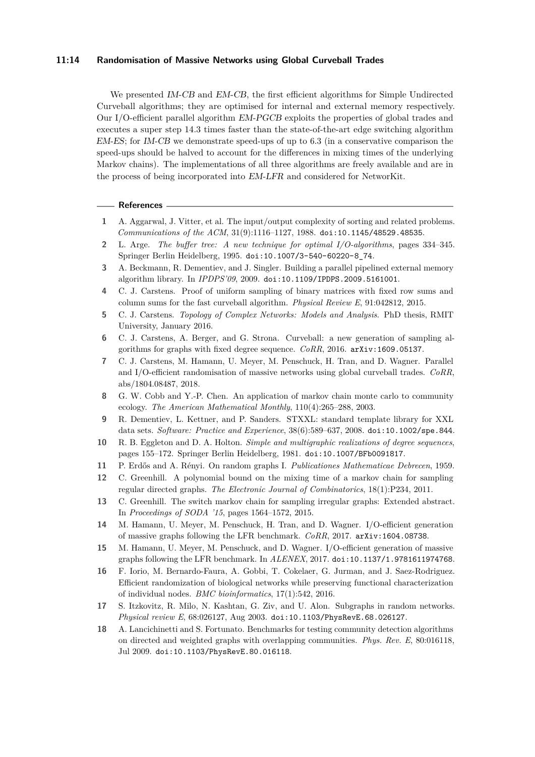#### **11:14 Randomisation of Massive Networks using Global Curveball Trades**

We presented [IM-CB](#page-7-0) and [EM-CB](#page-6-0), the first efficient algorithms for Simple Undirected Curveball algorithms; they are optimised for internal and external memory respectively. Our I/O-efficient parallel algorithm [EM-PGCB](#page-9-0) exploits the properties of global trades and executes a super step 14*.*3 times faster than the state-of-the-art edge switching algorithm [EM-ES](#page-1-0); for [IM-CB](#page-7-0) we demonstrate speed-ups of up to 6*.*3 (in a conservative comparison the speed-ups should be halved to account for the differences in mixing times of the underlying Markov chains). The implementations of all three algorithms are freely available and are in the process of being incorporated into [EM-LFR](#page-1-0) and considered for NetworKit.

#### **References**

- <span id="page-13-8"></span>**1** A. Aggarwal, J. Vitter, et al. The input/output complexity of sorting and related problems. *Communications of the ACM*, 31(9):1116–1127, 1988. [doi:10.1145/48529.48535](http://dx.doi.org/10.1145/48529.48535).
- <span id="page-13-9"></span>**2** L. Arge. *The buffer tree: A new technique for optimal I/O-algorithms*, pages 334–345. Springer Berlin Heidelberg, 1995. [doi:10.1007/3-540-60220-8\\_74](http://dx.doi.org/10.1007/3-540-60220-8_74).
- <span id="page-13-16"></span>**3** A. Beckmann, R. Dementiev, and J. Singler. Building a parallel pipelined external memory algorithm library. In *IPDPS'09*, 2009. [doi:10.1109/IPDPS.2009.5161001](http://dx.doi.org/10.1109/IPDPS.2009.5161001).
- <span id="page-13-14"></span>**4** C. J. Carstens. Proof of uniform sampling of binary matrices with fixed row sums and column sums for the fast curveball algorithm. *Physical Review E*, 91:042812, 2015.
- <span id="page-13-7"></span>**5** C. J. Carstens. *Topology of Complex Networks: Models and Analysis*. PhD thesis, RMIT University, January 2016.
- <span id="page-13-0"></span>**6** C. J. Carstens, A. Berger, and G. Strona. Curveball: a new generation of sampling algorithms for graphs with fixed degree sequence. *CoRR*, 2016. [arXiv:1609.05137](http://arxiv.org/abs/1609.05137).
- <span id="page-13-15"></span>**7** C. J. Carstens, M. Hamann, U. Meyer, M. Penschuck, H. Tran, and D. Wagner. Parallel and I/O-efficient randomisation of massive networks using global curveball trades. *CoRR*, abs/1804.08487, 2018.
- <span id="page-13-4"></span>**8** G. W. Cobb and Y.-P. Chen. An application of markov chain monte carlo to community ecology. *The American Mathematical Monthly*, 110(4):265–288, 2003.
- <span id="page-13-17"></span>**9** R. Dementiev, L. Kettner, and P. Sanders. STXXL: standard template library for XXL data sets. *Software: Practice and Experience*, 38(6):589–637, 2008. [doi:10.1002/spe.844](http://dx.doi.org/10.1002/spe.844).
- <span id="page-13-11"></span>**10** R. B. Eggleton and D. A. Holton. *Simple and multigraphic realizations of degree sequences*, pages 155–172. Springer Berlin Heidelberg, 1981. [doi:10.1007/BFb0091817](http://dx.doi.org/10.1007/BFb0091817).
- <span id="page-13-3"></span>**11** P. Erdős and A. Rényi. On random graphs I. *Publicationes Mathematicae Debrecen*, 1959.
- <span id="page-13-12"></span>**12** C. Greenhill. A polynomial bound on the mixing time of a markov chain for sampling regular directed graphs. *The Electronic Journal of Combinatorics*, 18(1):P234, 2011.
- <span id="page-13-13"></span>**13** C. Greenhill. The switch markov chain for sampling irregular graphs: Extended abstract. In *Proceedings of SODA '15*, pages 1564–1572, 2015.
- <span id="page-13-6"></span>**14** M. Hamann, U. Meyer, M. Penschuck, H. Tran, and D. Wagner. I/O-efficient generation of massive graphs following the LFR benchmark. *CoRR*, 2017. [arXiv:1604.08738](http://arxiv.org/abs/1604.08738).
- <span id="page-13-1"></span>**15** M. Hamann, U. Meyer, M. Penschuck, and D. Wagner. I/O-efficient generation of massive graphs following the LFR benchmark. In *ALENEX*, 2017. [doi:10.1137/1.9781611974768](http://dx.doi.org/10.1137/1.9781611974768).
- <span id="page-13-10"></span>**16** F. Iorio, M. Bernardo-Faura, A. Gobbi, T. Cokelaer, G. Jurman, and J. Saez-Rodriguez. Efficient randomization of biological networks while preserving functional characterization of individual nodes. *BMC bioinformatics*, 17(1):542, 2016.
- <span id="page-13-2"></span>**17** S. Itzkovitz, R. Milo, N. Kashtan, G. Ziv, and U. Alon. Subgraphs in random networks. *Physical review E*, 68:026127, Aug 2003. [doi:10.1103/PhysRevE.68.026127](http://dx.doi.org/10.1103/PhysRevE.68.026127).
- <span id="page-13-5"></span>**18** A. Lancichinetti and S. Fortunato. Benchmarks for testing community detection algorithms on directed and weighted graphs with overlapping communities. *Phys. Rev. E*, 80:016118, Jul 2009. [doi:10.1103/PhysRevE.80.016118](http://dx.doi.org/10.1103/PhysRevE.80.016118).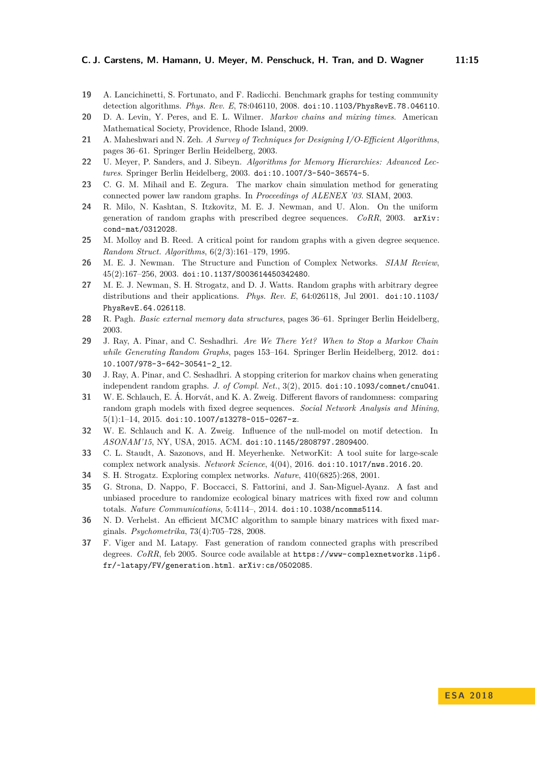- <span id="page-14-7"></span>**19** A. Lancichinetti, S. Fortunato, and F. Radicchi. Benchmark graphs for testing community detection algorithms. *Phys. Rev. E*, 78:046110, 2008. [doi:10.1103/PhysRevE.78.046110](http://dx.doi.org/10.1103/PhysRevE.78.046110).
- <span id="page-14-14"></span>**20** D. A. Levin, Y. Peres, and E. L. Wilmer. *Markov chains and mixing times*. American Mathematical Society, Providence, Rhode Island, 2009.
- <span id="page-14-13"></span>**21** A. Maheshwari and N. Zeh. *A Survey of Techniques for Designing I/O-Efficient Algorithms*, pages 36–61. Springer Berlin Heidelberg, 2003.
- <span id="page-14-11"></span>**22** U. Meyer, P. Sanders, and J. Sibeyn. *Algorithms for Memory Hierarchies: Advanced Lectures*. Springer Berlin Heidelberg, 2003. [doi:10.1007/3-540-36574-5](http://dx.doi.org/10.1007/3-540-36574-5).
- <span id="page-14-0"></span>**23** C. G. M. Mihail and E. Zegura. The markov chain simulation method for generating connected power law random graphs. In *Proceedings of ALENEX '03*. SIAM, 2003.
- <span id="page-14-6"></span>**24** R. Milo, N. Kashtan, S. Itzkovitz, M. E. J. Newman, and U. Alon. On the uniform generation of random graphs with prescribed degree sequences. *CoRR*, 2003. [arXiv:](http://arxiv.org/abs/cond-mat/0312028) [cond-mat/0312028](http://arxiv.org/abs/cond-mat/0312028).
- <span id="page-14-8"></span>**25** M. Molloy and B. Reed. A critical point for random graphs with a given degree sequence. *Random Struct. Algorithms*, 6(2/3):161–179, 1995.
- <span id="page-14-3"></span>**26** M. E. J. Newman. The Structure and Function of Complex Networks. *SIAM Review*, 45(2):167–256, 2003. [doi:10.1137/S003614450342480](http://dx.doi.org/10.1137/S003614450342480).
- <span id="page-14-1"></span>**27** M. E. J. Newman, S. H. Strogatz, and D. J. Watts. Random graphs with arbitrary degree distributions and their applications. *Phys. Rev. E*, 64:026118, Jul 2001. [doi:10.1103/](http://dx.doi.org/10.1103/PhysRevE.64.026118) [PhysRevE.64.026118](http://dx.doi.org/10.1103/PhysRevE.64.026118).
- <span id="page-14-12"></span>**28** R. Pagh. *Basic external memory data structures*, pages 36–61. Springer Berlin Heidelberg, 2003.
- <span id="page-14-15"></span>**29** J. Ray, A. Pinar, and C. Seshadhri. *Are We There Yet? When to Stop a Markov Chain while Generating Random Graphs*, pages 153–164. Springer Berlin Heidelberg, 2012. [doi:](http://dx.doi.org/10.1007/978-3-642-30541-2_12) [10.1007/978-3-642-30541-2\\_12](http://dx.doi.org/10.1007/978-3-642-30541-2_12).
- <span id="page-14-17"></span>**30** J. Ray, A. Pinar, and C. Seshadhri. A stopping criterion for markov chains when generating independent random graphs. *J. of Compl. Net.*, 3(2), 2015. [doi:10.1093/comnet/cnu041](http://dx.doi.org/10.1093/comnet/cnu041).
- <span id="page-14-5"></span>**31** W. E. Schlauch, E. Á. Horvát, and K. A. Zweig. Different flavors of randomness: comparing random graph models with fixed degree sequences. *Social Network Analysis and Mining*, 5(1):1–14, 2015. [doi:10.1007/s13278-015-0267-z](http://dx.doi.org/10.1007/s13278-015-0267-z).
- <span id="page-14-4"></span>**32** W. E. Schlauch and K. A. Zweig. Influence of the null-model on motif detection. In *ASONAM'15*, NY, USA, 2015. ACM. [doi:10.1145/2808797.2809400](http://dx.doi.org/10.1145/2808797.2809400).
- <span id="page-14-16"></span>**33** C. L. Staudt, A. Sazonovs, and H. Meyerhenke. NetworKit: A tool suite for large-scale complex network analysis. *Network Science*, 4(04), 2016. [doi:10.1017/nws.2016.20](http://dx.doi.org/10.1017/nws.2016.20).
- <span id="page-14-2"></span>**34** S. H. Strogatz. Exploring complex networks. *Nature*, 410(6825):268, 2001.
- <span id="page-14-9"></span>**35** G. Strona, D. Nappo, F. Boccacci, S. Fattorini, and J. San-Miguel-Ayanz. A fast and unbiased procedure to randomize ecological binary matrices with fixed row and column totals. *Nature Communications*, 5:4114–, 2014. [doi:10.1038/ncomms5114](http://dx.doi.org/10.1038/ncomms5114).
- <span id="page-14-10"></span>**36** N. D. Verhelst. An efficient MCMC algorithm to sample binary matrices with fixed marginals. *Psychometrika*, 73(4):705–728, 2008.
- <span id="page-14-18"></span>**37** F. Viger and M. Latapy. Fast generation of random connected graphs with prescribed degrees. *CoRR*, feb 2005. Source code available at [https://www-complexnetworks.lip6.](https://www-complexnetworks.lip6.fr/~latapy/FV/generation.html) [fr/~latapy/FV/generation.html](https://www-complexnetworks.lip6.fr/~latapy/FV/generation.html). [arXiv:cs/0502085](http://arxiv.org/abs/cs/0502085).